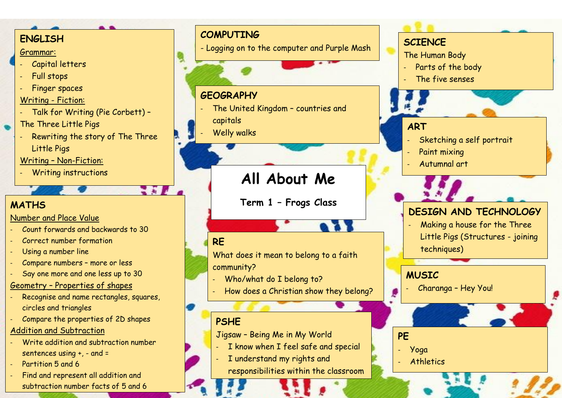#### **ENGLISH**

#### Grammar:

- Capital letters
- Full stops
- Finger spaces

## Writing - Fiction:

- Talk for Writing (Pie Corbett) –
- The Three Little Pigs
- Rewriting the story of The Three Little Pigs
- Writing Non-Fiction:
- Writing instructions

# **MATHS**

## Number and Place Value

- Count forwards and backwards to 30
- Correct number formation
- Using a number line
- Compare numbers more or less
- Say one more and one less up to 30

## Geometry – Properties of shapes

- Recognise and name rectangles, squares, circles and triangles
- Compare the properties of 2D shapes

## Addition and Subtraction

- Write addition and subtraction number sentences using +, - and =
- Partition 5 and 6
- Find and represent all addition and subtraction number facts of 5 and 6

## **COMPUTING**

- Logging on to the computer and Purple Mash

## **GEOGRAPHY**

- The United Kingdom countries and capitals
- Welly walks

# **All About Me**

**Term 1 – Frogs Class**

# **RE**

3 F F

What does it mean to belong to a faith community?

- Who/what do I belong to?
- How does a Christian show they belong?

## **PSHE**

Jigsaw – Being Me in My World

- I know when I feel safe and special
- I understand my rights and

responsibilities within the classroom

# **SCIENCE**

- The Human Body
- Parts of the body
- The five senses

## **ART**

- Sketching a self portrait
- Paint mixing
- Autumnal art

# **DESIGN AND TECHNOLOGY**

Making a house for the Three Little Pigs (Structures - joining techniques)

## **MUSIC**

- Charanga Hey You!
- **PE**
- Yoga
- **Athletics**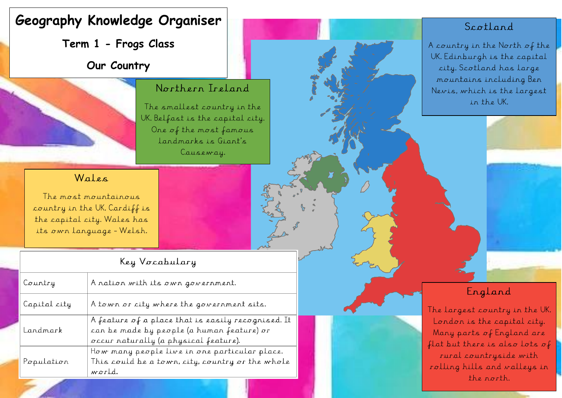# **Geography Knowledge Organiser**

**Term 1 - Frogs Class**

**Our Country**



#### Northern Ireland

The smallest country in the UK. Belfast is the capital city. One of the most famous landmarks is Giant's Causeway.

#### Wales

The most mountainous country in the UK. Cardiff is the capital city. Wales has its own language - Welsh.

## Key Vocabulary

| Country      | A nation with its own government.                                                                                                         |
|--------------|-------------------------------------------------------------------------------------------------------------------------------------------|
| Capital city | A town or city where the government sits.                                                                                                 |
| Landmark     | A feature of a place that is easily recognised. It<br>can be made by people (a human feature) or<br>occur naturally (a physical feature). |
| Population   | How many people live in one particular place.<br>This could be a town, city, country or the whole<br>world.                               |

## Scotland

A country in the North of the UK. Edinburgh is the capital city. Scotland has large mountains including Ben Nevis, which is the largest in the UK.

## England

The largest country in the UK. London is the capital city. Many parts of England are flat but there is also lots of rural countryside with rolling hills and valleys in the north.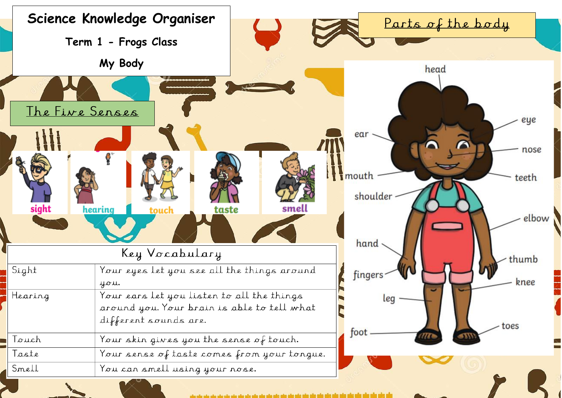

الألا والوروثان والوروثان وألو وأرو وأوروثه وأوروثه وأوروثه وأورواه والمرواء والمرواء والمرواء والمرواء والمرواء والمرواء والمرواء